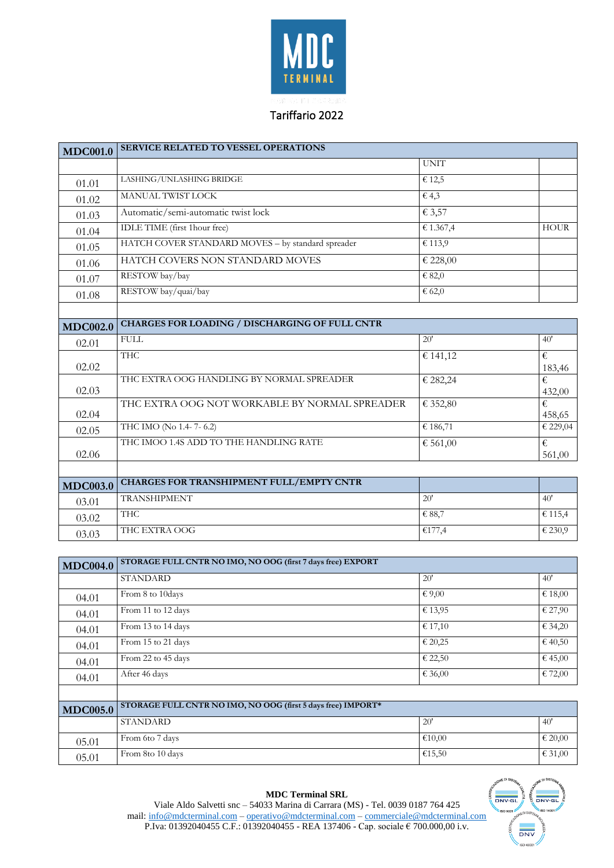

## Tariffario 2022

| <b>MDC001.0</b> | <b>SERVICE RELATED TO VESSEL OPERATIONS</b>           |             |             |
|-----------------|-------------------------------------------------------|-------------|-------------|
|                 |                                                       | <b>UNIT</b> |             |
| 01.01           | LASHING/UNLASHING BRIDGE                              | € 12,5      |             |
| 01.02           | MANUAL TWIST LOCK                                     | 64,3        |             |
| 01.03           | Automatic/semi-automatic twist lock                   | € 3,57      |             |
| 01.04           | IDLE TIME (first 1hour free)                          | € 1.367,4   | <b>HOUR</b> |
| 01.05           | HATCH COVER STANDARD MOVES - by standard spreader     | € 113,9     |             |
| 01.06           | HATCH COVERS NON STANDARD MOVES                       | € 228,00    |             |
| 01.07           | RESTOW bay/bay                                        | € 82,0      |             |
| 01.08           | RESTOW bay/quai/bay                                   | 662,0       |             |
|                 |                                                       |             |             |
| <b>MDC002.0</b> | <b>CHARGES FOR LOADING / DISCHARGING OF FULL CNTR</b> |             |             |
| 02.01           | <b>FULL</b>                                           | 20'         | 40'         |
| 02.02           | <b>THC</b>                                            | € 141,12    | €<br>183,46 |
| 02.03           | THC EXTRA OOG HANDLING BY NORMAL SPREADER             | € 282,24    | €<br>432,00 |
| 02.04           | THC EXTRA OOG NOT WORKABLE BY NORMAL SPREADER         | € 352,80    | €<br>458,65 |
| 02.05           | THC IMO (No 1.4-7-6.2)                                | € 186,71    | € 229,04    |
| 02.06           | THC IMOO 1.4S ADD TO THE HANDLING RATE                | € 561,00    | €<br>561,00 |
|                 | <b>CHARGES FOR TRANSHIPMENT FULL/EMPTY CNTR</b>       |             |             |
| <b>MDC003.0</b> | <b>TRANSHIPMENT</b>                                   | 20'         | 40'         |
| 03.01           |                                                       |             |             |
| 03.02           | <b>THC</b>                                            | € 88,7      | € 115,4     |
| 03.03           | THC EXTRA OOG                                         | €177,4      | € 230,9     |

| <b>MDC004.0</b> | STORAGE FULL CNTR NO IMO, NO OOG (first 7 days free) EXPORT  |         |                             |
|-----------------|--------------------------------------------------------------|---------|-----------------------------|
|                 | <b>STANDARD</b>                                              | 20'     | 40'                         |
| 04.01           | From 8 to 10days                                             | €9,00   | €18,00                      |
| 04.01           | From 11 to 12 days                                           | € 13,95 | $\overline{\epsilon}$ 27,90 |
| 04.01           | From 13 to 14 days                                           | € 17,10 | € 34,20                     |
| 04.01           | From 15 to 21 days                                           | € 20,25 | € 40,50                     |
| 04.01           | From 22 to 45 days                                           | € 22,50 | € 45,00                     |
| 04.01           | After 46 days                                                | € 36,00 | € 72,00                     |
|                 |                                                              |         |                             |
| <b>MDC005.0</b> | STORAGE FULL CNTR NO IMO, NO OOG (first 5 days free) IMPORT* |         |                             |
|                 | <b>STANDARD</b>                                              | 20'     | 40'                         |
| 05.01           | From 6to 7 days                                              | €10,00  | € 20,00                     |
| 05.01           | From 8to 10 days                                             | €15,50  | € 31,00                     |



Viale Aldo Salvetti snc – 54033 Marina di Carrara (MS) - Tel. 0039 0187 764 425 mail: [info@mdcterminal.com](mailto:info@mdcterminal.com) – [operativo@mdcterminal.com](mailto:operativo@mdcterminal.com) – [commerciale@mdcterminal.com](mailto:commerciale@mdcterminal.com) P.Iva: 01392040455 C.F.: 01392040455 - REA 137406 - Cap. sociale € 700.000,00 i.v.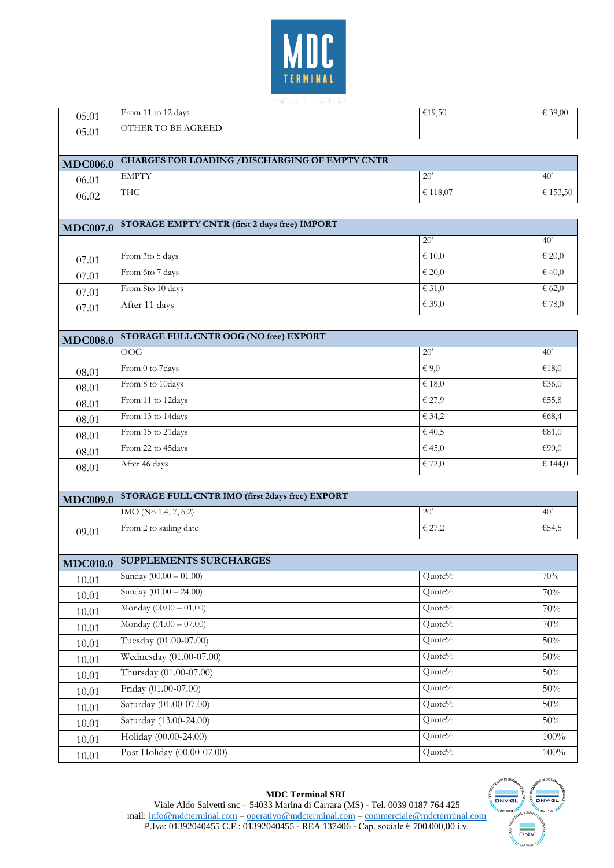

| 05.01           | From 11 to 12 days                              | €19,50                     | € 39,00                    |
|-----------------|-------------------------------------------------|----------------------------|----------------------------|
| 05.01           | OTHER TO BE AGREED                              |                            |                            |
|                 |                                                 |                            |                            |
| <b>MDC006.0</b> | CHARGES FOR LOADING / DISCHARGING OF EMPTY CNTR |                            |                            |
| 06.01           | <b>EMPTY</b>                                    | 20'                        | 40'                        |
| 06.02           | <b>THC</b>                                      | € 118,07                   | € 153,50                   |
|                 |                                                 |                            |                            |
| <b>MDC007.0</b> | STORAGE EMPTY CNTR (first 2 days free) IMPORT   |                            |                            |
|                 |                                                 | 20'                        | 40'                        |
| 07.01           | From 3to 5 days                                 | $\overline{\epsilon}$ 10,0 | $\overline{\epsilon}$ 20,0 |
| 07.01           | From 6to 7 days                                 | $\epsilon$ 20,0            | $\overline{\epsilon}$ 40,0 |
| 07.01           | From 8to 10 days                                | $\epsilon$ 31,0            | 662,0                      |
| 07.01           | After 11 days                                   | € 39,0                     | € 78,0                     |
|                 |                                                 |                            |                            |
| <b>MDC008.0</b> | STORAGE FULL CNTR OOG (NO free) EXPORT          |                            |                            |
|                 | OOG                                             | 20'                        | 40'                        |
| 08.01           | From 0 to 7days                                 | $\epsilon$ 9,0             | €18,0                      |
| 08.01           | From 8 to 10days                                | € 18,0                     | €36,0                      |
| 08.01           | From 11 to 12days                               | € 27,9                     | €55,8                      |
| 08.01           | From 13 to 14days                               | € 34,2                     | €68,4                      |
| 08.01           | From 15 to 21days                               | €40,5                      | €81,0                      |
| 08.01           | From 22 to 45days                               | € 45,0                     | €90,0                      |
| 08.01           | After 46 days                                   | € 72,0                     | € 144,0                    |
|                 |                                                 |                            |                            |
| <b>MDC009.0</b> | STORAGE FULL CNTR IMO (first 2days free) EXPORT |                            |                            |
|                 | IMO (No 1.4, 7, 6.2)                            | 20'                        | 40'                        |
| 09.01           | From 2 to sailing date                          | € 27,2                     | €54,5                      |
|                 |                                                 |                            |                            |
| <b>MDC010.0</b> | <b>SUPPLEMENTS SURCHARGES</b>                   |                            |                            |
| 10.01           | Sunday $(00.00 - 01.00)$                        | Quote%                     | 70%                        |
| 10.01           | Sunday $(01.00 - 24.00)$                        | Quote%                     | 70%                        |
| 10.01           | Monday $(00.00 - 01.00)$                        | Quote%                     | $70\%$                     |
| 10.01           | Monday (01.00 - 07.00)                          | Quote%                     | $70\%$                     |
| 10.01           | Tuesday (01.00-07.00)                           | Quote%                     | $50\%$                     |
| 10.01           | Wednesday (01.00-07.00)                         | Quote%                     | $50\%$                     |
| 10.01           | Thursday (01.00-07.00)                          | Quote%                     | $50\%$                     |
| 10.01           | Friday (01.00-07.00)                            | Quote%                     | $50\%$                     |
| 10.01           | Saturday (01.00-07.00)                          | Quote%                     | 50%                        |
| 10.01           | Saturday (13.00-24.00)                          | Quote%                     | $50\%$                     |
| 10.01           | Holiday (00.00-24.00)                           | Quote%                     | $100\%$                    |
| 10.01           | Post Holiday (00.00-07.00)                      | Quote%                     | $100\%$                    |

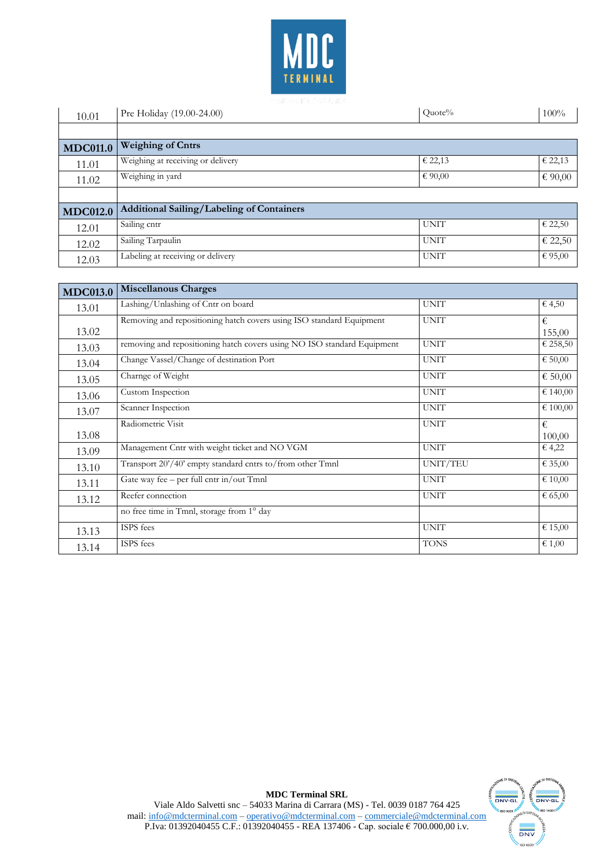

| 10.01           | Pre Holiday (19.00-24.00)                        | Quote%      | $100\%$ |
|-----------------|--------------------------------------------------|-------------|---------|
|                 |                                                  |             |         |
| <b>MDC011.0</b> | <b>Weighing of Cntrs</b>                         |             |         |
| 11.01           | Weighing at receiving or delivery                | € 22,13     | € 22,13 |
| 11.02           | Weighing in yard                                 | € 90,00     | € 90,00 |
|                 |                                                  |             |         |
| <b>MDC012.0</b> | <b>Additional Sailing/Labeling of Containers</b> |             |         |
| 12.01           | Sailing cntr                                     | <b>UNIT</b> | € 22,50 |
| 12.02           | Sailing Tarpaulin                                | <b>UNIT</b> | € 22,50 |
| 12.03           | Labeling at receiving or delivery                | <b>UNIT</b> | € 95,00 |

| <b>MDC013.0</b> | <b>Miscellanous Charges</b>                                             |             |             |
|-----------------|-------------------------------------------------------------------------|-------------|-------------|
| 13.01           | Lashing/Unlashing of Cntr on board                                      | <b>UNIT</b> | € 4,50      |
| 13.02           | Removing and repositioning hatch covers using ISO standard Equipment    | <b>UNIT</b> | €<br>155,00 |
| 13.03           | removing and repositioning hatch covers using NO ISO standard Equipment | <b>UNIT</b> | € 258,50    |
| 13.04           | Change Vassel/Change of destination Port                                | <b>UNIT</b> | € $50,00$   |
| 13.05           | Charnge of Weight                                                       | <b>UNIT</b> | € $50,00$   |
| 13.06           | Custom Inspection                                                       | <b>UNIT</b> | € 140,00    |
| 13.07           | Scanner Inspection                                                      | <b>UNIT</b> | € 100,00    |
| 13.08           | Radiometric Visit                                                       | <b>UNIT</b> | €<br>100,00 |
| 13.09           | Management Cntr with weight ticket and NO VGM                           | <b>UNIT</b> | € 4,22      |
| 13.10           | Transport 20'/40' empty standard cntrs to/from other Tmnl               | UNIT/TEU    | € 35,00     |
| 13.11           | Gate way fee - per full cntr in/out Tmnl                                | <b>UNIT</b> | € 10,00     |
| 13.12           | Reefer connection                                                       | <b>UNIT</b> | € 65,00     |
|                 | no free time in Tmnl, storage from 1° day                               |             |             |
| 13.13           | ISPS fees                                                               | <b>UNIT</b> | € 15,00     |
| 13.14           | ISPS fees                                                               | <b>TONS</b> | € 1,00      |

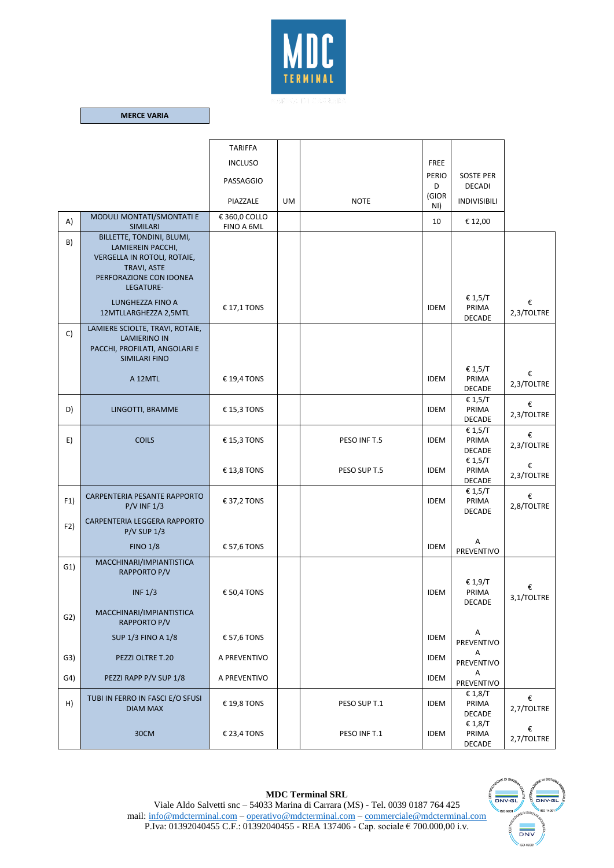

## **MERCE VARIA**

|                |                                                                                                                                                          | <b>TARIFFA</b>              |           |              |              |                                   |                 |
|----------------|----------------------------------------------------------------------------------------------------------------------------------------------------------|-----------------------------|-----------|--------------|--------------|-----------------------------------|-----------------|
|                |                                                                                                                                                          | <b>INCLUSO</b>              |           |              | <b>FREE</b>  |                                   |                 |
|                |                                                                                                                                                          | PASSAGGIO                   |           |              | PERIO<br>D   | <b>SOSTE PER</b><br><b>DECADI</b> |                 |
|                |                                                                                                                                                          | PIAZZALE                    | <b>UM</b> | <b>NOTE</b>  | (GIOR<br>NI) | <b>INDIVISIBILI</b>               |                 |
| A)             | MODULI MONTATI/SMONTATI E<br><b>SIMILARI</b>                                                                                                             | € 360,0 COLLO<br>FINO A 6ML |           |              | 10           | € 12,00                           |                 |
| B)             | BILLETTE, TONDINI, BLUMI,<br>LAMIEREIN PACCHI,<br>VERGELLA IN ROTOLI, ROTAIE,<br>TRAVI, ASTE<br>PERFORAZIONE CON IDONEA<br>LEGATURE-<br>LUNGHEZZA FINO A | € 17,1 TONS                 |           |              | <b>IDEM</b>  | € 1,5/T<br>PRIMA                  | €               |
|                | 12MTLLARGHEZZA 2,5MTL                                                                                                                                    |                             |           |              |              | <b>DECADE</b>                     | 2,3/TOLTRE      |
| C)             | LAMIERE SCIOLTE, TRAVI, ROTAIE,<br><b>LAMIERINO IN</b><br>PACCHI, PROFILATI, ANGOLARI E<br>SIMILARI FINO                                                 |                             |           |              |              |                                   |                 |
|                | A 12MTL                                                                                                                                                  | € 19,4 TONS                 |           |              | <b>IDEM</b>  | € 1,5/T<br>PRIMA<br><b>DECADE</b> | €<br>2,3/TOLTRE |
| D)             | LINGOTTI, BRAMME                                                                                                                                         | € 15,3 TONS                 |           |              | <b>IDEM</b>  | € 1,5/T<br>PRIMA<br>DECADE        | €<br>2,3/TOLTRE |
| E)             | <b>COILS</b>                                                                                                                                             | € 15,3 TONS                 |           | PESO INF T.5 | <b>IDEM</b>  | € 1,5/T<br>PRIMA<br><b>DECADE</b> | €<br>2,3/TOLTRE |
|                |                                                                                                                                                          | € 13,8 TONS                 |           | PESO SUP T.5 | <b>IDEM</b>  | € 1,5/T<br>PRIMA<br><b>DECADE</b> | €<br>2,3/TOLTRE |
| F1)            | CARPENTERIA PESANTE RAPPORTO<br>$P/V$ INF $1/3$                                                                                                          | € 37,2 TONS                 |           |              | <b>IDEM</b>  | € 1,5/T<br>PRIMA<br><b>DECADE</b> | €<br>2,8/TOLTRE |
| F2)            | CARPENTERIA LEGGERA RAPPORTO<br>$P/V$ SUP $1/3$                                                                                                          |                             |           |              |              |                                   |                 |
|                | <b>FINO 1/8</b>                                                                                                                                          | € 57,6 TONS                 |           |              | <b>IDEM</b>  | Α<br>PREVENTIVO                   |                 |
| G1)            | MACCHINARI/IMPIANTISTICA<br>RAPPORTO P/V                                                                                                                 |                             |           |              |              | € 1,9/T                           |                 |
|                | INF $1/3$                                                                                                                                                | € 50,4 TONS                 |           |              | <b>IDEM</b>  | PRIMA<br>DECADE                   | €<br>3,1/TOLTRE |
| G2)            | MACCHINARI/IMPIANTISTICA<br>RAPPORTO P/V                                                                                                                 |                             |           |              |              |                                   |                 |
|                | <b>SUP 1/3 FINO A 1/8</b>                                                                                                                                | € 57,6 TONS                 |           |              | <b>IDEM</b>  | Α<br><b>PREVENTIVO</b>            |                 |
| G3)            | PEZZI OLTRE T.20                                                                                                                                         | A PREVENTIVO                |           |              | <b>IDEM</b>  | Α<br>PREVENTIVO                   |                 |
| G <sub>4</sub> | PEZZI RAPP P/V SUP 1/8                                                                                                                                   | A PREVENTIVO                |           |              | <b>IDEM</b>  | Α<br>PREVENTIVO                   |                 |
| H)             | TUBI IN FERRO IN FASCI E/O SFUSI<br><b>DIAM MAX</b>                                                                                                      | € 19,8 TONS                 |           | PESO SUP T.1 | <b>IDEM</b>  | € 1,8/T<br>PRIMA<br><b>DECADE</b> | €<br>2,7/TOLTRE |
|                | 30CM                                                                                                                                                     | € 23,4 TONS                 |           | PESO INF T.1 | <b>IDEM</b>  | € 1,8/T<br>PRIMA<br><b>DECADE</b> | €<br>2,7/TOLTRE |

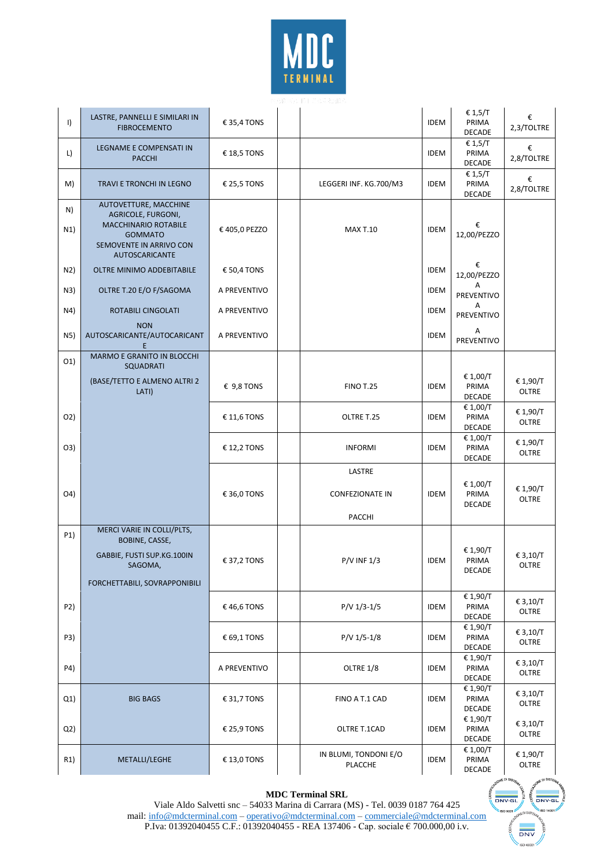

| $\vert$          | LASTRE, PANNELLI E SIMILARI IN<br><b>FIBROCEMENTO</b>                                                                                     | € 35,4 TONS   |                                            | <b>IDEM</b> | € 1,5/T<br>PRIMA<br><b>DECADE</b>  | €<br>2,3/TOLTRE          |
|------------------|-------------------------------------------------------------------------------------------------------------------------------------------|---------------|--------------------------------------------|-------------|------------------------------------|--------------------------|
| L)               | LEGNAME E COMPENSATI IN<br><b>PACCHI</b>                                                                                                  | € 18,5 TONS   |                                            | <b>IDEM</b> | € 1,5/T<br>PRIMA<br><b>DECADE</b>  | €<br>2,8/TOLTRE          |
| M)               | TRAVI E TRONCHI IN LEGNO                                                                                                                  | € 25,5 TONS   | LEGGERI INF. KG.700/M3                     | <b>IDEM</b> | € 1,5/T<br>PRIMA<br><b>DECADE</b>  | €<br>2,8/TOLTRE          |
| N)<br>N1)        | AUTOVETTURE, MACCHINE<br>AGRICOLE, FURGONI,<br>MACCHINARIO ROTABILE<br><b>GOMMATO</b><br>SEMOVENTE IN ARRIVO CON<br><b>AUTOSCARICANTE</b> | € 405,0 PEZZO | <b>MAX T.10</b>                            | <b>IDEM</b> | €<br>12,00/PEZZO                   |                          |
| N2)              | OLTRE MINIMO ADDEBITABILE                                                                                                                 | € 50,4 TONS   |                                            | <b>IDEM</b> | €<br>12,00/PEZZO                   |                          |
| N3)              | OLTRE T.20 E/O F/SAGOMA                                                                                                                   | A PREVENTIVO  |                                            | <b>IDEM</b> | А<br>PREVENTIVO                    |                          |
| N4)              | ROTABILI CINGOLATI                                                                                                                        | A PREVENTIVO  |                                            | <b>IDEM</b> | A<br>PREVENTIVO                    |                          |
| N5)              | <b>NON</b><br>AUTOSCARICANTE/AUTOCARICANT<br>Е                                                                                            | A PREVENTIVO  |                                            | <b>IDEM</b> | Α<br>PREVENTIVO                    |                          |
| O(1)             | MARMO E GRANITO IN BLOCCHI<br><b>SQUADRATI</b>                                                                                            |               |                                            |             |                                    |                          |
|                  | (BASE/TETTO E ALMENO ALTRI 2<br>LATI)                                                                                                     | € 9,8 TONS    | <b>FINO T.25</b>                           | <b>IDEM</b> | € 1,00/T<br>PRIMA<br><b>DECADE</b> | € 1,90/T<br><b>OLTRE</b> |
| 02)              |                                                                                                                                           | € 11,6 TONS   | OLTRE T.25                                 | <b>IDEM</b> | € 1,00/T<br>PRIMA<br><b>DECADE</b> | € 1,90/T<br>OLTRE        |
| O <sub>3</sub>   |                                                                                                                                           | € 12,2 TONS   | <b>INFORMI</b>                             | <b>IDEM</b> | € 1,00/T<br>PRIMA<br><b>DECADE</b> | € 1,90/T<br>OLTRE        |
| O(4)             |                                                                                                                                           | € 36,0 TONS   | LASTRE<br><b>CONFEZIONATE IN</b><br>PACCHI | <b>IDEM</b> | € 1,00/T<br>PRIMA<br><b>DECADE</b> | € 1,90/T<br>OLTRE        |
| P <sub>1</sub> ) | MERCI VARIE IN COLLI/PLTS,<br>BOBINE, CASSE,<br>GABBIE, FUSTI SUP.KG.100IN<br>SAGOMA,<br>FORCHETTABILI, SOVRAPPONIBILI                    | € 37,2 TONS   | $P/V$ INF $1/3$                            | <b>IDEM</b> | € 1,90/T<br>PRIMA<br><b>DECADE</b> | € 3,10/T<br>OLTRE        |
| P2)              |                                                                                                                                           | €46,6 TONS    | $P/V$ 1/3-1/5                              | <b>IDEM</b> | € 1,90/T<br>PRIMA<br>DECADE        | € 3,10/T<br>OLTRE        |
| P3)              |                                                                                                                                           | € 69,1 TONS   | $P/V$ 1/5-1/8                              | <b>IDEM</b> | € 1,90/T<br>PRIMA<br>DECADE        | € 3,10/T<br>OLTRE        |
| P4)              |                                                                                                                                           | A PREVENTIVO  | OLTRE 1/8                                  | <b>IDEM</b> | € 1,90/T<br>PRIMA<br>DECADE        | € 3,10/T<br>OLTRE        |
| Q1)              | <b>BIG BAGS</b>                                                                                                                           | € 31,7 TONS   | FINO A T.1 CAD                             | <b>IDEM</b> | € 1,90/T<br>PRIMA<br><b>DECADE</b> | € 3,10/T<br>OLTRE        |
| Q2)              |                                                                                                                                           | € 25,9 TONS   | OLTRE T.1CAD                               | <b>IDEM</b> | € 1,90/T<br>PRIMA<br>DECADE        | € 3,10/T<br>OLTRE        |
| R1)              | METALLI/LEGHE                                                                                                                             | € 13,0 TONS   | IN BLUMI, TONDONI E/O<br>PLACCHE           | <b>IDEM</b> | € 1,00/T<br>PRIMA<br><b>DECADE</b> | € 1,90/T<br>OLTRE        |